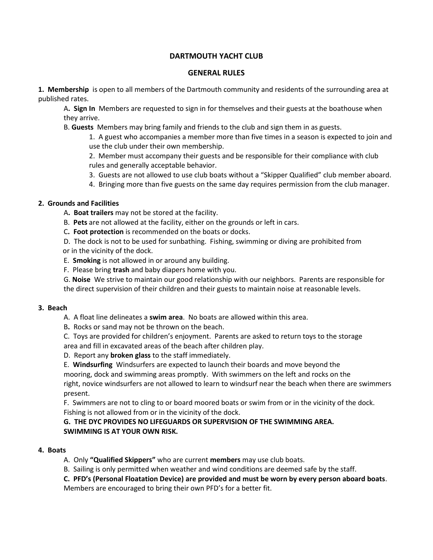# **DARTMOUTH YACHT CLUB**

#### **GENERAL RULES**

**1. Membership** is open to all members of the Dartmouth community and residents of the surrounding area at published rates.

A**. Sign In** Members are requested to sign in for themselves and their guests at the boathouse when they arrive.

B. **Guests** Members may bring family and friends to the club and sign them in as guests.

1. A guest who accompanies a member more than five times in a season is expected to join and use the club under their own membership.

2. Member must accompany their guests and be responsible for their compliance with club rules and generally acceptable behavior.

- 3. Guests are not allowed to use club boats without a "Skipper Qualified" club member aboard.
- 4. Bringing more than five guests on the same day requires permission from the club manager.

### **2. Grounds and Facilities**

- A**. Boat trailers** may not be stored at the facility.
- B. **Pets** are not allowed at the facility, either on the grounds or left in cars.
- C**. Foot protection** is recommended on the boats or docks.

D. The dock is not to be used for sunbathing. Fishing, swimming or diving are prohibited from or in the vicinity of the dock.

- E. **Smoking** is not allowed in or around any building.
- F. Please bring **trash** and baby diapers home with you.

G. **Noise** We strive to maintain our good relationship with our neighbors. Parents are responsible for the direct supervision of their children and their guests to maintain noise at reasonable levels.

#### **3. Beach**

- A. A float line delineates a **swim area**. No boats are allowed within this area.
- B**.** Rocks or sand may not be thrown on the beach.
- C. Toys are provided for children's enjoyment. Parents are asked to return toys to the storage area and fill in excavated areas of the beach after children play.
- D. Report any **broken glass** to the staff immediately.

E. **Windsurfing** Windsurfers are expected to launch their boards and move beyond the mooring, dock and swimming areas promptly. With swimmers on the left and rocks on the right, novice windsurfers are not allowed to learn to windsurf near the beach when there are swimmers present.

F. Swimmers are not to cling to or board moored boats or swim from or in the vicinity of the dock. Fishing is not allowed from or in the vicinity of the dock.

**G. THE DYC PROVIDES NO LIFEGUARDS OR SUPERVISION OF THE SWIMMING AREA. SWIMMING IS AT YOUR OWN RISK.**

#### **4. Boats**

- A. Only **"Qualified Skippers"** who are current **members** may use club boats.
- B. Sailing is only permitted when weather and wind conditions are deemed safe by the staff.

**C. PFD's (Personal Floatation Device) are provided and must be worn by every person aboard boats**. Members are encouraged to bring their own PFD's for a better fit.